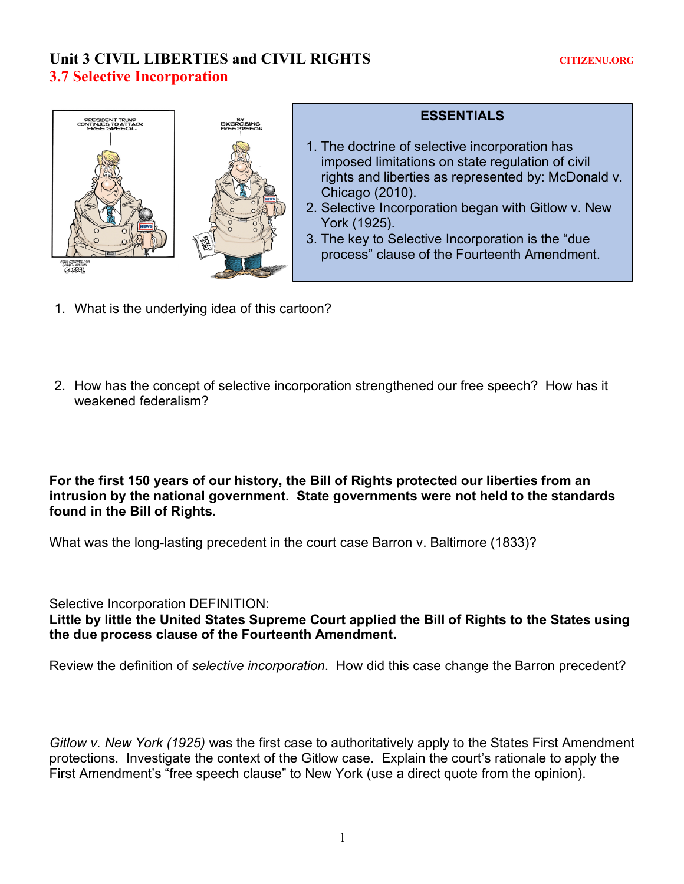## **Unit 3 CIVIL LIBERTIES and CIVIL RIGHTS CONSTRUES CONSTRUES CONSTRUES AND ALL ASSESSED ASSESSED ASSESSED AND LIBERT LORGING AND ALL AND LIBERT LORGING AND LIBERT LORGING AND LIBERT LORGING AND LIBERT LORGING AND LIBERT LO 3.7 Selective Incorporation**



## **ESSENTIALS**

- 1. The doctrine of selective incorporation has imposed limitations on state regulation of civil rights and liberties as represented by: McDonald v. Chicago (2010).
- 2. Selective Incorporation began with Gitlow v. New York (1925).
- 3. The key to Selective Incorporation is the "due process" clause of the Fourteenth Amendment.
- 1. What is the underlying idea of this cartoon?
- 2. How has the concept of selective incorporation strengthened our free speech? How has it weakened federalism?

**For the first 150 years of our history, the Bill of Rights protected our liberties from an intrusion by the national government. State governments were not held to the standards found in the Bill of Rights.**

What was the long-lasting precedent in the court case Barron v. Baltimore (1833)?

Selective Incorporation DEFINITION:

**Little by little the United States Supreme Court applied the Bill of Rights to the States using the due process clause of the Fourteenth Amendment.**

Review the definition of *selective incorporation*. How did this case change the Barron precedent?

*Gitlow v. New York (1925)* was the first case to authoritatively apply to the States First Amendment protections. Investigate the context of the Gitlow case. Explain the court's rationale to apply the First Amendment's "free speech clause" to New York (use a direct quote from the opinion).